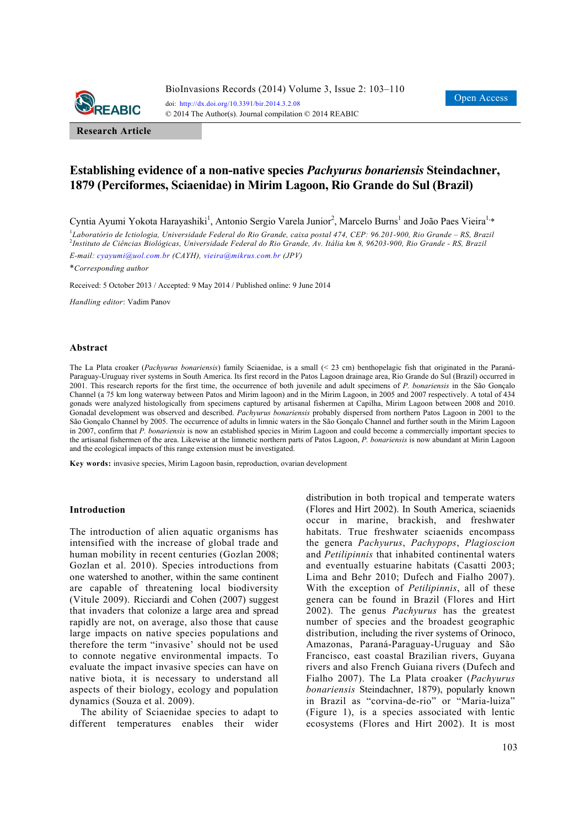

**Research Article**

# **Establishing evidence of a non-native species** *Pachyurus bonariensis* **Steindachner, 1879 (Perciformes, Sciaenidae) in Mirim Lagoon, Rio Grande do Sul (Brazil)**

Cyntia Ayumi Yokota Harayashiki<sup>1</sup>, Antonio Sergio Varela Junior<sup>2</sup>, Marcelo Burns<sup>1</sup> and João Paes Vieira<sup>1,</sup>\*

<sup>1</sup>Laboratório de Ictiologia, Universidade Federal do Rio Grande, caixa postal 474, CEP: 96.201-900, Rio Grande – RS, Brazil 2 *Instituto de Ciências Biológicas, Universidade Federal do Rio Grande, Av. Itália km 8, 96203-900, Rio Grande - RS, Brazil E-mail: cyayumi@uol.com.br (CAYH), vieira@mikrus.com.br (JPV)* 

\**Corresponding author* 

Received: 5 October 2013 / Accepted: 9 May 2014 / Published online: 9 June 2014

*Handling editor*: Vadim Panov

#### **Abstract**

The La Plata croaker (*Pachyurus bonariensis*) family Sciaenidae, is a small (< 23 cm) benthopelagic fish that originated in the Paraná-Paraguay-Uruguay river systems in South America. Its first record in the Patos Lagoon drainage area, Rio Grande do Sul (Brazil) occurred in 2001. This research reports for the first time, the occurrence of both juvenile and adult specimens of *P. bonariensis* in the São Gonçalo Channel (a 75 km long waterway between Patos and Mirim lagoon) and in the Mirim Lagoon, in 2005 and 2007 respectively. A total of 434 gonads were analyzed histologically from specimens captured by artisanal fishermen at Capilha, Mirim Lagoon between 2008 and 2010. Gonadal development was observed and described. *Pachyurus bonariensis* probably dispersed from northern Patos Lagoon in 2001 to the São Gonçalo Channel by 2005. The occurrence of adults in limnic waters in the São Gonçalo Channel and further south in the Mirim Lagoon in 2007, confirm that *P. bonariensis* is now an established species in Mirim Lagoon and could become a commercially important species to the artisanal fishermen of the area. Likewise at the limnetic northern parts of Patos Lagoon, *P. bonariensis* is now abundant at Mirin Lagoon and the ecological impacts of this range extension must be investigated.

**Key words:** invasive species, Mirim Lagoon basin, reproduction, ovarian development

### **Introduction**

The introduction of alien aquatic organisms has intensified with the increase of global trade and human mobility in recent centuries (Gozlan 2008; Gozlan et al. 2010). Species introductions from one watershed to another, within the same continent are capable of threatening local biodiversity (Vitule 2009). Ricciardi and Cohen (2007) suggest that invaders that colonize a large area and spread rapidly are not, on average, also those that cause large impacts on native species populations and therefore the term "invasive' should not be used to connote negative environmental impacts. To evaluate the impact invasive species can have on native biota, it is necessary to understand all aspects of their biology, ecology and population dynamics (Souza et al. 2009).

The ability of Sciaenidae species to adapt to different temperatures enables their wider distribution in both tropical and temperate waters (Flores and Hirt 2002). In South America, sciaenids occur in marine, brackish, and freshwater habitats. True freshwater sciaenids encompass the genera *Pachyurus*, *Pachypops*, *Plagioscion* and *Petilipinnis* that inhabited continental waters and eventually estuarine habitats (Casatti 2003; Lima and Behr 2010; Dufech and Fialho 2007). With the exception of *Petilipinnis*, all of these genera can be found in Brazil (Flores and Hirt 2002). The genus *Pachyurus* has the greatest number of species and the broadest geographic distribution, including the river systems of Orinoco, Amazonas, Paraná-Paraguay-Uruguay and São Francisco, east coastal Brazilian rivers, Guyana rivers and also French Guiana rivers (Dufech and Fialho 2007). The La Plata croaker (*Pachyurus bonariensis* Steindachner, 1879), popularly known in Brazil as "corvina-de-rio" or "Maria-luiza" (Figure 1), is a species associated with lentic ecosystems (Flores and Hirt 2002). It is most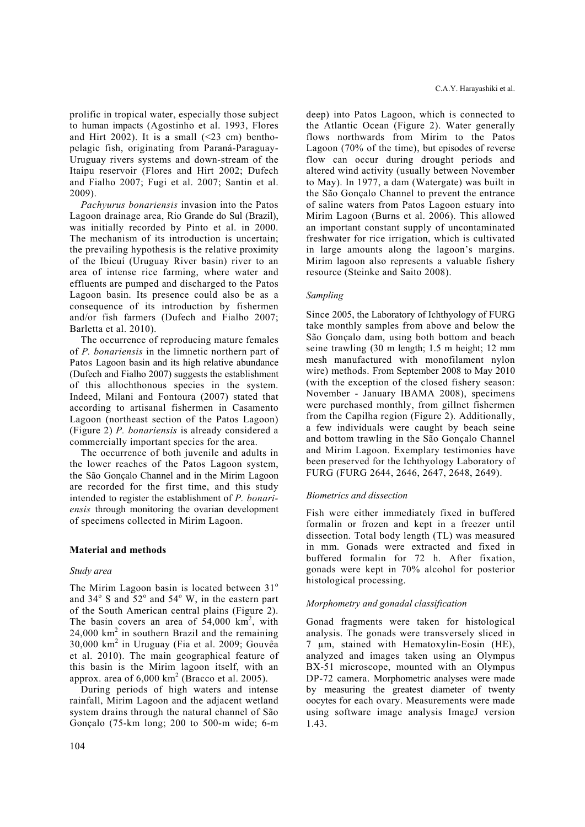prolific in tropical water, especially those subject to human impacts (Agostinho et al. 1993, Flores and Hirt 2002). It is a small  $(\leq 23$  cm) benthopelagic fish, originating from Paraná-Paraguay-Uruguay rivers systems and down-stream of the Itaipu reservoir (Flores and Hirt 2002; Dufech and Fialho 2007; Fugi et al. 2007; Santin et al. 2009).

*Pachyurus bonariensis* invasion into the Patos Lagoon drainage area, Rio Grande do Sul (Brazil), was initially recorded by Pinto et al. in 2000. The mechanism of its introduction is uncertain; the prevailing hypothesis is the relative proximity of the Ibicuí (Uruguay River basin) river to an area of intense rice farming, where water and effluents are pumped and discharged to the Patos Lagoon basin. Its presence could also be as a consequence of its introduction by fishermen and/or fish farmers (Dufech and Fialho 2007; Barletta et al. 2010).

The occurrence of reproducing mature females of *P. bonariensis* in the limnetic northern part of Patos Lagoon basin and its high relative abundance (Dufech and Fialho 2007) suggests the establishment of this allochthonous species in the system. Indeed, Milani and Fontoura (2007) stated that according to artisanal fishermen in Casamento Lagoon (northeast section of the Patos Lagoon) (Figure 2) *P. bonariensis* is already considered a commercially important species for the area.

The occurrence of both juvenile and adults in the lower reaches of the Patos Lagoon system, the São Gonçalo Channel and in the Mirim Lagoon are recorded for the first time, and this study intended to register the establishment of *P. bonariensis* through monitoring the ovarian development of specimens collected in Mirim Lagoon.

# **Material and methods**

# *Study area*

The Mirim Lagoon basin is located between  $31^\circ$ and  $34^{\circ}$  S and  $52^{\circ}$  and  $54^{\circ}$  W, in the eastern part of the South American central plains (Figure 2). The basin covers an area of  $54,000 \text{ km}^2$ , with  $24,000$  km<sup>2</sup> in southern Brazil and the remaining 30,000 km<sup>2</sup> in Uruguay (Fia et al. 2009; Gouvêa et al. 2010). The main geographical feature of this basin is the Mirim lagoon itself, with an approx. area of  $6,000 \text{ km}^2$  (Bracco et al. 2005).

During periods of high waters and intense rainfall, Mirim Lagoon and the adjacent wetland system drains through the natural channel of São Gonçalo (75-km long; 200 to 500-m wide; 6-m deep) into Patos Lagoon, which is connected to the Atlantic Ocean (Figure 2). Water generally flows northwards from Mirim to the Patos Lagoon (70% of the time), but episodes of reverse flow can occur during drought periods and altered wind activity (usually between November to May). In 1977, a dam (Watergate) was built in the São Gonçalo Channel to prevent the entrance of saline waters from Patos Lagoon estuary into Mirim Lagoon (Burns et al. 2006). This allowed an important constant supply of uncontaminated freshwater for rice irrigation, which is cultivated in large amounts along the lagoon's margins. Mirim lagoon also represents a valuable fishery resource (Steinke and Saito 2008).

### *Sampling*

Since 2005, the Laboratory of Ichthyology of FURG take monthly samples from above and below the São Gonçalo dam, using both bottom and beach seine trawling (30 m length; 1.5 m height; 12 mm mesh manufactured with monofilament nylon wire) methods. From September 2008 to May 2010 (with the exception of the closed fishery season: November - January IBAMA 2008), specimens were purchased monthly, from gillnet fishermen from the Capilha region (Figure 2). Additionally, a few individuals were caught by beach seine and bottom trawling in the São Gonçalo Channel and Mirim Lagoon. Exemplary testimonies have been preserved for the Ichthyology Laboratory of FURG (FURG 2644, 2646, 2647, 2648, 2649).

# *Biometrics and dissection*

Fish were either immediately fixed in buffered formalin or frozen and kept in a freezer until dissection. Total body length (TL) was measured in mm. Gonads were extracted and fixed in buffered formalin for 72 h. After fixation, gonads were kept in 70% alcohol for posterior histological processing.

### *Morphometry and gonadal classification*

Gonad fragments were taken for histological analysis. The gonads were transversely sliced in 7 µm, stained with Hematoxylin-Eosin (HE), analyzed and images taken using an Olympus BX-51 microscope, mounted with an Olympus DP-72 camera. Morphometric analyses were made by measuring the greatest diameter of twenty oocytes for each ovary. Measurements were made using software image analysis ImageJ version 1.43.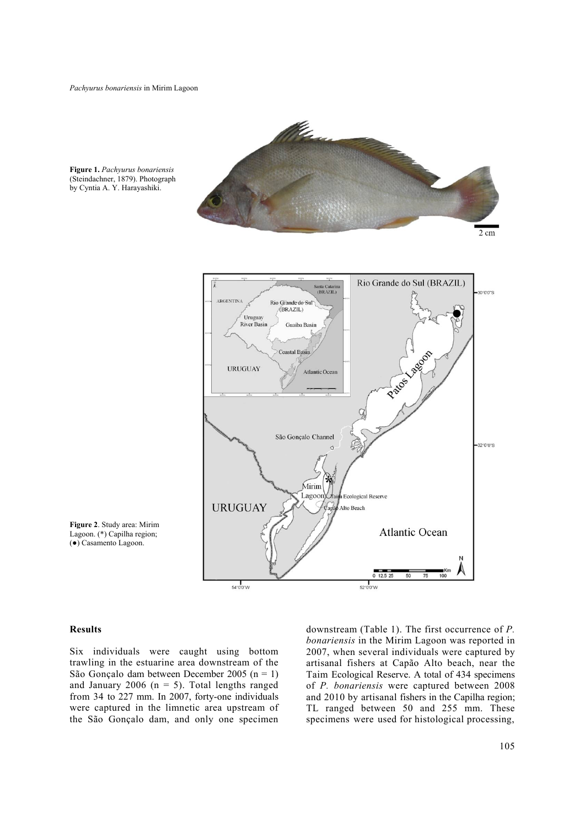$2 \text{ cm}$ Rio Grande do Sul (BRAZIL) Santa Catarina<br>(BRAZIL) 30°0'0"S ARGENTINA Rio Grande do Sul (BRAZIL) Uruguay<br>River Basin Guaiba Basin Lagon **Coastal Basin URUGUAY** Atlantic Ocean Patos São Gonçalo Channel 32°0'0"S Mirim Lagoon h Ecological Reserve **URUGUAY** Alto Beach **Atlantic Ocean** 





#### **Results**

Six individuals were caught using bottom trawling in the estuarine area downstream of the São Gonçalo dam between December 2005 (n = 1) and January 2006 ( $n = 5$ ). Total lengths ranged from 34 to 227 mm. In 2007, forty-one individuals were captured in the limnetic area upstream of the São Gonçalo dam, and only one specimen

54°0'0"W

downstream (Table 1). The first occurrence of *P. bonariensis* in the Mirim Lagoon was reported in 2007, when several individuals were captured by artisanal fishers at Capão Alto beach, near the Taim Ecological Reserve. A total of 434 specimens of *P. bonariensis* were captured between 2008 and 2010 by artisanal fishers in the Capilha region; TL ranged between 50 and 255 mm. These specimens were used for histological processing,

50  $75$ 100

 $0$  12.5 25

52°0'0"W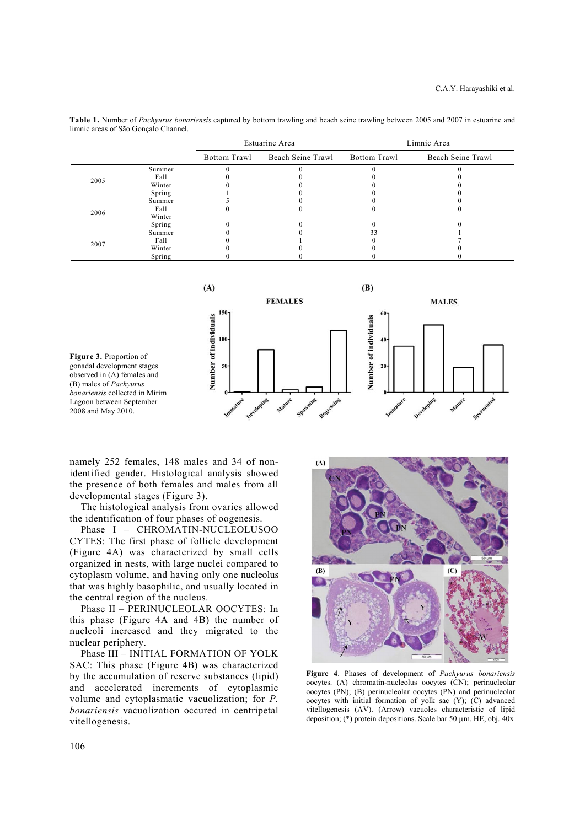**Table 1.** Number of *Pachyurus bonariensis* captured by bottom trawling and beach seine trawling between 2005 and 2007 in estuarine and limnic areas of São Gonçalo Channel.

|      |        | Estuarine Area |                   | Limnic Area  |                   |
|------|--------|----------------|-------------------|--------------|-------------------|
|      |        | Bottom Trawl   | Beach Seine Trawl | Bottom Trawl | Beach Seine Trawl |
| 2005 | Summer |                |                   |              |                   |
|      | Fall   |                |                   |              |                   |
|      | Winter |                |                   |              |                   |
|      | Spring |                |                   |              |                   |
| 2006 | Summer |                |                   |              |                   |
|      | Fall   |                |                   |              |                   |
|      | Winter |                |                   |              |                   |
|      | Spring |                |                   |              |                   |
| 2007 | Summer |                |                   | 33           |                   |
|      | Fall   |                |                   |              |                   |
|      | Winter |                |                   |              |                   |
|      | Spring |                |                   |              |                   |



namely 252 females, 148 males and 34 of nonidentified gender. Histological analysis showed the presence of both females and males from all developmental stages (Figure 3).

The histological analysis from ovaries allowed the identification of four phases of oogenesis.

Phase I – CHROMATIN-NUCLEOLUSOO CYTES: The first phase of follicle development (Figure 4A) was characterized by small cells organized in nests, with large nuclei compared to cytoplasm volume, and having only one nucleolus that was highly basophilic, and usually located in the central region of the nucleus.

Phase II – PERINUCLEOLAR OOCYTES: In this phase (Figure 4A and 4B) the number of nucleoli increased and they migrated to the nuclear periphery.

Phase III – INITIAL FORMATION OF YOLK SAC: This phase (Figure 4B) was characterized by the accumulation of reserve substances (lipid) and accelerated increments of cytoplasmic volume and cytoplasmatic vacuolization; for *P. bonariensis* vacuolization occured in centripetal vitellogenesis.



**Figure 4**. Phases of development of *Pachyurus bonariensis* oocytes. (A) chromatin-nucleolus oocytes (CN); perinucleolar oocytes (PN); (B) perinucleolar oocytes (PN) and perinucleolar oocytes with initial formation of yolk sac (Y); (C) advanced vitellogenesis (AV). (Arrow) vacuoles characteristic of lipid deposition;  $(*)$  protein depositions. Scale bar 50  $\mu$ m. HE, obj. 40x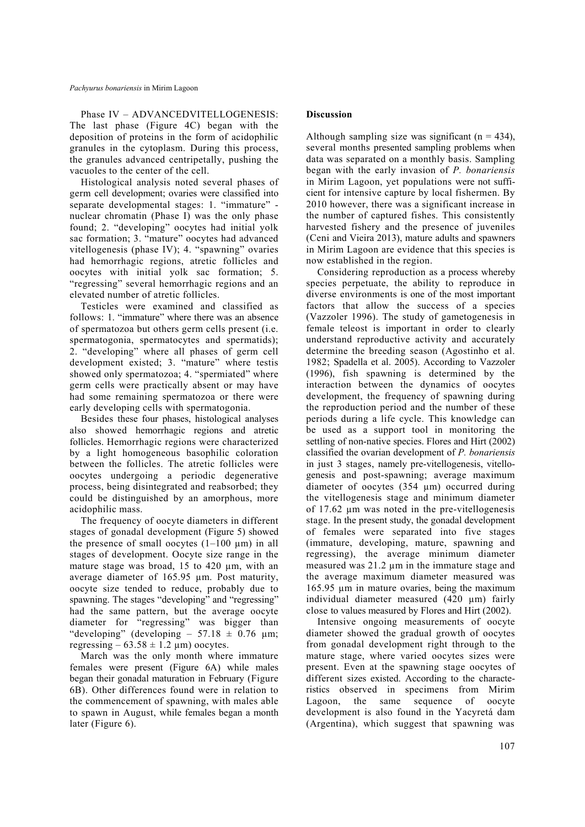Phase IV – ADVANCEDVITELLOGENESIS: The last phase (Figure 4C) began with the deposition of proteins in the form of acidophilic granules in the cytoplasm. During this process, the granules advanced centripetally, pushing the vacuoles to the center of the cell.

Histological analysis noted several phases of germ cell development; ovaries were classified into separate developmental stages: 1. "immature" nuclear chromatin (Phase I) was the only phase found; 2. "developing" oocytes had initial yolk sac formation; 3. "mature" oocytes had advanced vitellogenesis (phase IV); 4. "spawning" ovaries had hemorrhagic regions, atretic follicles and oocytes with initial yolk sac formation; 5. "regressing" several hemorrhagic regions and an elevated number of atretic follicles.

Testicles were examined and classified as follows: 1. "immature" where there was an absence of spermatozoa but others germ cells present (i.e. spermatogonia, spermatocytes and spermatids); 2. "developing" where all phases of germ cell development existed; 3. "mature" where testis showed only spermatozoa; 4. "spermiated" where germ cells were practically absent or may have had some remaining spermatozoa or there were early developing cells with spermatogonia.

Besides these four phases, histological analyses also showed hemorrhagic regions and atretic follicles. Hemorrhagic regions were characterized by a light homogeneous basophilic coloration between the follicles. The atretic follicles were oocytes undergoing a periodic degenerative process, being disintegrated and reabsorbed; they could be distinguished by an amorphous, more acidophilic mass.

The frequency of oocyte diameters in different stages of gonadal development (Figure 5) showed the presence of small oocytes  $(1-100 \mu m)$  in all stages of development. Oocyte size range in the mature stage was broad, 15 to 420  $\mu$ m, with an average diameter of 165.95 µm. Post maturity, oocyte size tended to reduce, probably due to spawning. The stages "developing" and "regressing" had the same pattern, but the average oocyte diameter for "regressing" was bigger than "developing" (developing – 57.18  $\pm$  0.76  $\mu$ m; regressing  $-63.58 \pm 1.2 \mu m$ ) oocytes.

March was the only month where immature females were present (Figure 6A) while males began their gonadal maturation in February (Figure 6B). Other differences found were in relation to the commencement of spawning, with males able to spawn in August, while females began a month later (Figure 6).

# **Discussion**

Although sampling size was significant  $(n = 434)$ . several months presented sampling problems when data was separated on a monthly basis. Sampling began with the early invasion of *P. bonariensis* in Mirim Lagoon, yet populations were not sufficient for intensive capture by local fishermen. By 2010 however, there was a significant increase in the number of captured fishes. This consistently harvested fishery and the presence of juveniles (Ceni and Vieira 2013), mature adults and spawners in Mirim Lagoon are evidence that this species is now established in the region.

Considering reproduction as a process whereby species perpetuate, the ability to reproduce in diverse environments is one of the most important factors that allow the success of a species (Vazzoler 1996). The study of gametogenesis in female teleost is important in order to clearly understand reproductive activity and accurately determine the breeding season (Agostinho et al. 1982; Spadella et al. 2005). According to Vazzoler (1996), fish spawning is determined by the interaction between the dynamics of oocytes development, the frequency of spawning during the reproduction period and the number of these periods during a life cycle. This knowledge can be used as a support tool in monitoring the settling of non-native species. Flores and Hirt (2002) classified the ovarian development of *P. bonariensis* in just 3 stages, namely pre-vitellogenesis, vitellogenesis and post-spawning; average maximum diameter of oocytes (354 µm) occurred during the vitellogenesis stage and minimum diameter of 17.62 µm was noted in the pre-vitellogenesis stage. In the present study, the gonadal development of females were separated into five stages (immature, developing, mature, spawning and regressing), the average minimum diameter measured was 21.2 µm in the immature stage and the average maximum diameter measured was 165.95 µm in mature ovaries, being the maximum individual diameter measured (420 µm) fairly close to values measured by Flores and Hirt (2002).

Intensive ongoing measurements of oocyte diameter showed the gradual growth of oocytes from gonadal development right through to the mature stage, where varied oocytes sizes were present. Even at the spawning stage oocytes of different sizes existed. According to the characteristics observed in specimens from Mirim Lagoon, the same sequence of oocyte development is also found in the Yacyretá dam (Argentina), which suggest that spawning was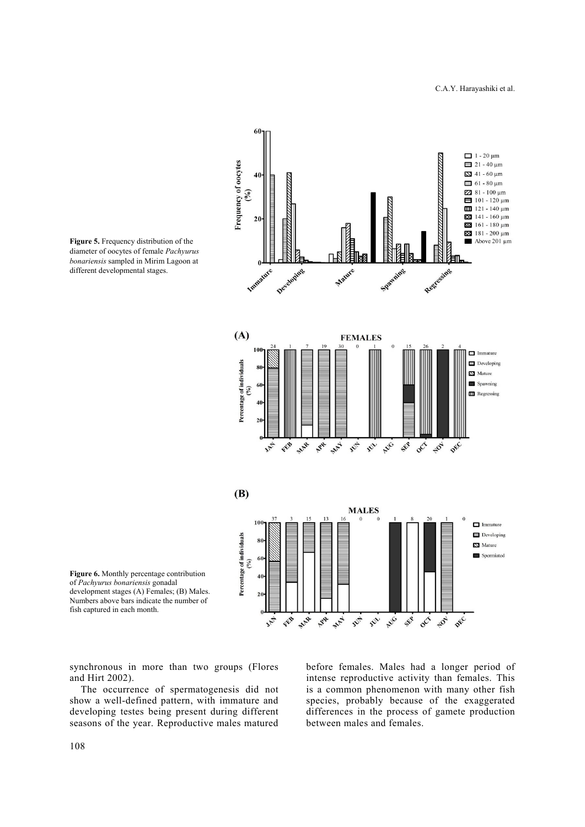

**Figure 5.** Frequency distribution of the diameter of oocytes of female *Pachyurus bonariensis* sampled in Mirim Lagoon at different developmental stages.

**Figure 6.** Monthly percentage contribution of *Pachyurus bonariensis* gonadal development stages (A) Females; (B) Males. Numbers above bars indicate the number of fish captured in each month.

synchronous in more than two groups (Flores and Hirt 2002).

The occurrence of spermatogenesis did not show a well-defined pattern, with immature and developing testes being present during different seasons of the year. Reproductive males matured before females. Males had a longer period of intense reproductive activity than females. This is a common phenomenon with many other fish species, probably because of the exaggerated differences in the process of gamete production between males and females.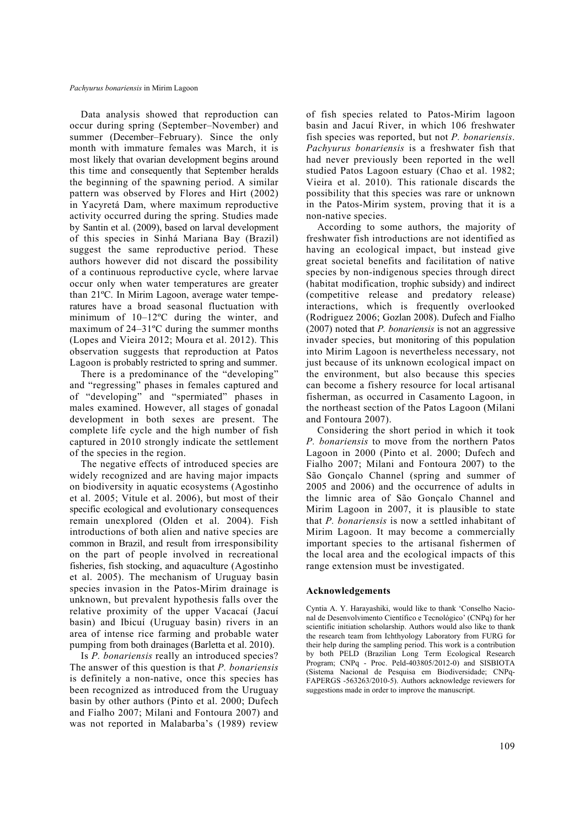Data analysis showed that reproduction can occur during spring (September–November) and summer (December–February). Since the only month with immature females was March, it is most likely that ovarian development begins around this time and consequently that September heralds the beginning of the spawning period. A similar pattern was observed by Flores and Hirt (2002) in Yacyretá Dam, where maximum reproductive activity occurred during the spring. Studies made by Santin et al. (2009), based on larval development of this species in Sinhá Mariana Bay (Brazil) suggest the same reproductive period. These authors however did not discard the possibility of a continuous reproductive cycle, where larvae occur only when water temperatures are greater than 21ºC. In Mirim Lagoon, average water temperatures have a broad seasonal fluctuation with minimum of 10–12ºC during the winter, and maximum of 24–31ºC during the summer months (Lopes and Vieira 2012; Moura et al. 2012). This observation suggests that reproduction at Patos Lagoon is probably restricted to spring and summer.

There is a predominance of the "developing" and "regressing" phases in females captured and of "developing" and "spermiated" phases in males examined. However, all stages of gonadal development in both sexes are present. The complete life cycle and the high number of fish captured in 2010 strongly indicate the settlement of the species in the region.

The negative effects of introduced species are widely recognized and are having major impacts on biodiversity in aquatic ecosystems (Agostinho et al. 2005; Vitule et al. 2006), but most of their specific ecological and evolutionary consequences remain unexplored (Olden et al. 2004). Fish introductions of both alien and native species are common in Brazil, and result from irresponsibility on the part of people involved in recreational fisheries, fish stocking, and aquaculture (Agostinho et al. 2005). The mechanism of Uruguay basin species invasion in the Patos-Mirim drainage is unknown, but prevalent hypothesis falls over the relative proximity of the upper Vacacaí (Jacuí basin) and Ibicuí (Uruguay basin) rivers in an area of intense rice farming and probable water pumping from both drainages (Barletta et al. 2010).

Is *P. bonariensis* really an introduced species? The answer of this question is that *P. bonariensis* is definitely a non-native, once this species has been recognized as introduced from the Uruguay basin by other authors (Pinto et al. 2000; Dufech and Fialho 2007; Milani and Fontoura 2007) and was not reported in Malabarba's (1989) review

of fish species related to Patos-Mirim lagoon basin and Jacuí River, in which 106 freshwater fish species was reported, but not *P. bonariensis*. *Pachyurus bonariensis* is a freshwater fish that had never previously been reported in the well studied Patos Lagoon estuary (Chao et al. 1982; Vieira et al. 2010). This rationale discards the possibility that this species was rare or unknown in the Patos-Mirim system, proving that it is a non-native species.

According to some authors, the majority of freshwater fish introductions are not identified as having an ecological impact, but instead give great societal benefits and facilitation of native species by non-indigenous species through direct (habitat modification, trophic subsidy) and indirect (competitive release and predatory release) interactions, which is frequently overlooked (Rodriguez 2006; Gozlan 2008). Dufech and Fialho (2007) noted that *P. bonariensis* is not an aggressive invader species, but monitoring of this population into Mirim Lagoon is nevertheless necessary, not just because of its unknown ecological impact on the environment, but also because this species can become a fishery resource for local artisanal fisherman, as occurred in Casamento Lagoon, in the northeast section of the Patos Lagoon (Milani and Fontoura 2007).

Considering the short period in which it took *P. bonariensis* to move from the northern Patos Lagoon in 2000 (Pinto et al. 2000; Dufech and Fialho 2007; Milani and Fontoura 2007) to the São Gonçalo Channel (spring and summer of 2005 and 2006) and the occurrence of adults in the limnic area of São Gonçalo Channel and Mirim Lagoon in 2007, it is plausible to state that *P. bonariensis* is now a settled inhabitant of Mirim Lagoon. It may become a commercially important species to the artisanal fishermen of the local area and the ecological impacts of this range extension must be investigated.

### **Acknowledgements**

Cyntia A. Y. Harayashiki, would like to thank 'Conselho Nacional de Desenvolvimento Científico e Tecnológico' (CNPq) for her scientific initiation scholarship. Authors would also like to thank the research team from Ichthyology Laboratory from FURG for their help during the sampling period. This work is a contribution by both PELD (Brazilian Long Term Ecological Research Program; CNPq - Proc. Peld-403805/2012-0) and SISBIOTA (Sistema Nacional de Pesquisa em Biodiversidade; CNPq-FAPERGS -563263/2010-5). Authors acknowledge reviewers for suggestions made in order to improve the manuscript.